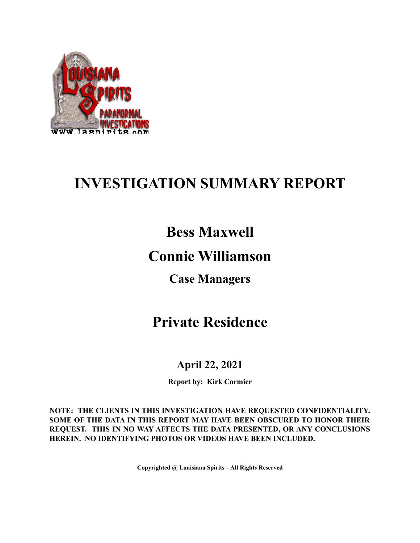

# **INVESTIGATION SUMMARY REPORT**

## **Bess Maxwell**

## **Connie Williamson**

### **Case Managers**

## **Private Residence**

### **April 22, 2021**

**Report by: Kirk Cormier**

**NOTE: THE CLIENTS IN THIS INVESTIGATION HAVE REQUESTED CONFIDENTIALITY. SOME OF THE DATA IN THIS REPORT MAY HAVE BEEN OBSCURED TO HONOR THEIR REQUEST. THIS IN NO WAY AFFECTS THE DATA PRESENTED, OR ANY CONCLUSIONS HEREIN. NO IDENTIFYING PHOTOS OR VIDEOS HAVE BEEN INCLUDED.**

**Copyrighted @ Louisiana Spirits – All Rights Reserved**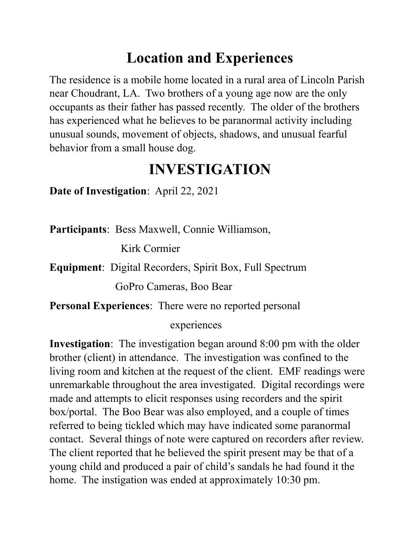# **Location and Experiences**

The residence is a mobile home located in a rural area of Lincoln Parish near Choudrant, LA. Two brothers of a young age now are the only occupants as their father has passed recently. The older of the brothers has experienced what he believes to be paranormal activity including unusual sounds, movement of objects, shadows, and unusual fearful behavior from a small house dog.

# **INVESTIGATION**

**Date of Investigation**: April 22, 2021

**Participants**: Bess Maxwell, Connie Williamson,

Kirk Cormier

**Equipment**: Digital Recorders, Spirit Box, Full Spectrum

GoPro Cameras, Boo Bear

**Personal Experiences**: There were no reported personal

#### experiences

**Investigation**: The investigation began around 8:00 pm with the older brother (client) in attendance. The investigation was confined to the living room and kitchen at the request of the client. EMF readings were unremarkable throughout the area investigated. Digital recordings were made and attempts to elicit responses using recorders and the spirit box/portal. The Boo Bear was also employed, and a couple of times referred to being tickled which may have indicated some paranormal contact. Several things of note were captured on recorders after review. The client reported that he believed the spirit present may be that of a young child and produced a pair of child's sandals he had found it the home. The instigation was ended at approximately 10:30 pm.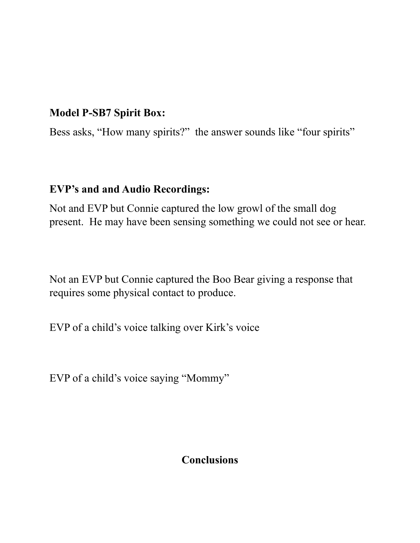### **Model P-SB7 Spirit Box:**

Bess asks, "How many spirits?" the answer sounds like "four spirits"

#### **EVP's and and Audio Recordings:**

Not and EVP but Connie captured the low growl of the small dog present. He may have been sensing something we could not see or hear.

Not an EVP but Connie captured the Boo Bear giving a response that requires some physical contact to produce.

EVP of a child's voice talking over Kirk's voice

EVP of a child's voice saying "Mommy"

#### **Conclusions**